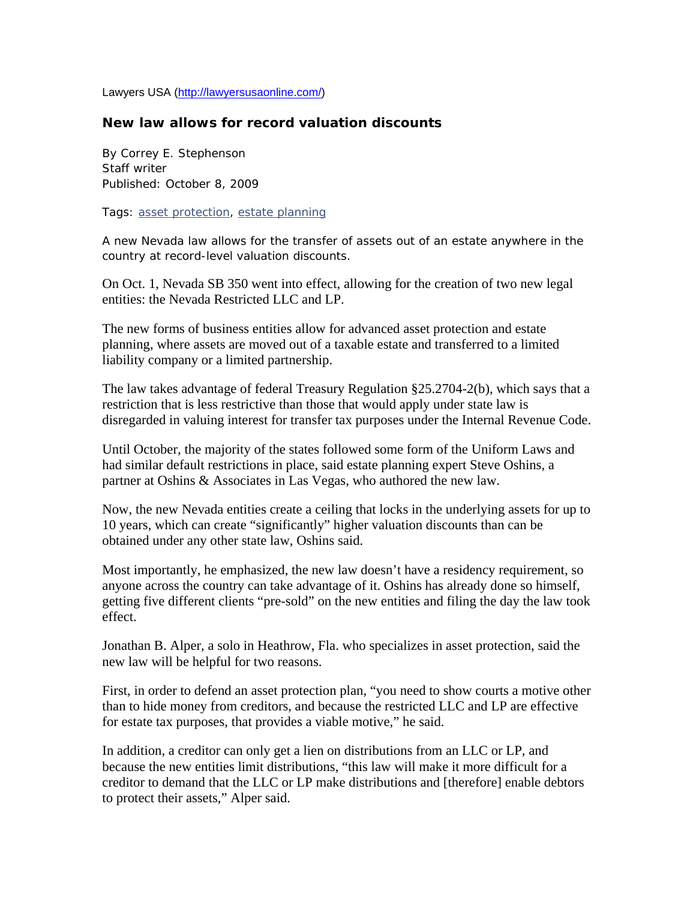Lawyers USA (http://lawyersusaonline.com/)

## **New law allows for record valuation discounts**

By Correy E. Stephenson Staff writer Published: October 8, 2009

Tags: asset protection, estate planning

A new Nevada law allows for the transfer of assets out of an estate anywhere in the country at record-level valuation discounts.

On Oct. 1, Nevada SB 350 went into effect, allowing for the creation of two new legal entities: the Nevada Restricted LLC and LP.

The new forms of business entities allow for advanced asset protection and estate planning, where assets are moved out of a taxable estate and transferred to a limited liability company or a limited partnership.

The law takes advantage of federal Treasury Regulation §25.2704-2(b), which says that a restriction that is less restrictive than those that would apply under state law is disregarded in valuing interest for transfer tax purposes under the Internal Revenue Code.

Until October, the majority of the states followed some form of the Uniform Laws and had similar default restrictions in place, said estate planning expert Steve Oshins, a partner at Oshins & Associates in Las Vegas, who authored the new law.

Now, the new Nevada entities create a ceiling that locks in the underlying assets for up to 10 years, which can create "significantly" higher valuation discounts than can be obtained under any other state law, Oshins said.

Most importantly, he emphasized, the new law doesn't have a residency requirement, so anyone across the country can take advantage of it. Oshins has already done so himself, getting five different clients "pre-sold" on the new entities and filing the day the law took effect.

Jonathan B. Alper, a solo in Heathrow, Fla. who specializes in asset protection, said the new law will be helpful for two reasons.

First, in order to defend an asset protection plan, "you need to show courts a motive other than to hide money from creditors, and because the restricted LLC and LP are effective for estate tax purposes, that provides a viable motive," he said.

In addition, a creditor can only get a lien on distributions from an LLC or LP, and because the new entities limit distributions, "this law will make it more difficult for a creditor to demand that the LLC or LP make distributions and [therefore] enable debtors to protect their assets," Alper said.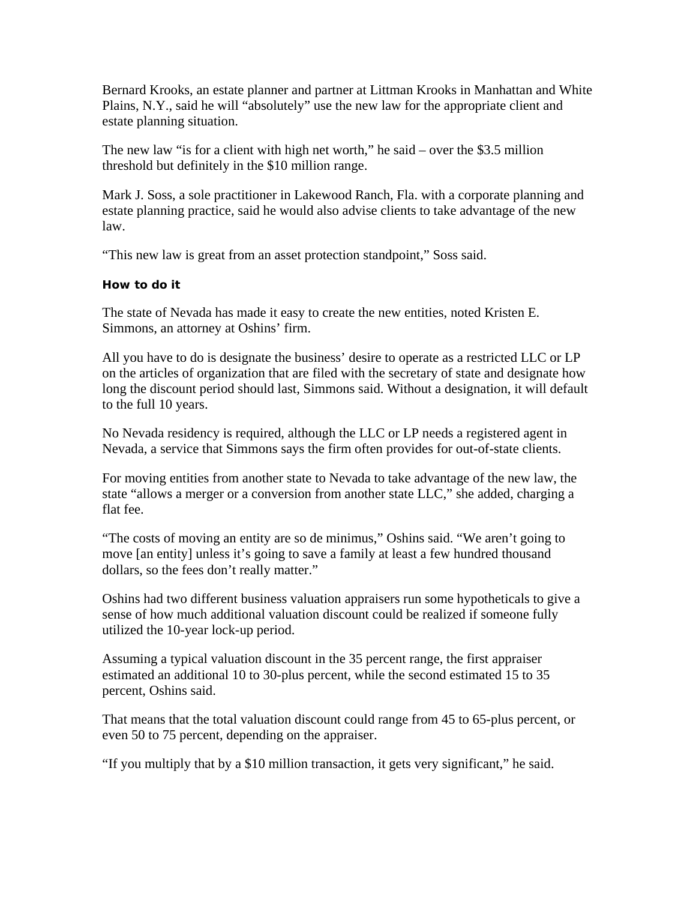Bernard Krooks, an estate planner and partner at Littman Krooks in Manhattan and White Plains, N.Y., said he will "absolutely" use the new law for the appropriate client and estate planning situation.

The new law "is for a client with high net worth," he said – over the \$3.5 million threshold but definitely in the \$10 million range.

Mark J. Soss, a sole practitioner in Lakewood Ranch, Fla. with a corporate planning and estate planning practice, said he would also advise clients to take advantage of the new law.

"This new law is great from an asset protection standpoint," Soss said.

## **How to do it**

The state of Nevada has made it easy to create the new entities, noted Kristen E. Simmons, an attorney at Oshins' firm.

All you have to do is designate the business' desire to operate as a restricted LLC or LP on the articles of organization that are filed with the secretary of state and designate how long the discount period should last, Simmons said. Without a designation, it will default to the full 10 years.

No Nevada residency is required, although the LLC or LP needs a registered agent in Nevada, a service that Simmons says the firm often provides for out-of-state clients.

For moving entities from another state to Nevada to take advantage of the new law, the state "allows a merger or a conversion from another state LLC," she added, charging a flat fee.

"The costs of moving an entity are so de minimus," Oshins said. "We aren't going to move [an entity] unless it's going to save a family at least a few hundred thousand dollars, so the fees don't really matter."

Oshins had two different business valuation appraisers run some hypotheticals to give a sense of how much additional valuation discount could be realized if someone fully utilized the 10-year lock-up period.

Assuming a typical valuation discount in the 35 percent range, the first appraiser estimated an additional 10 to 30-plus percent, while the second estimated 15 to 35 percent, Oshins said.

That means that the total valuation discount could range from 45 to 65-plus percent, or even 50 to 75 percent, depending on the appraiser.

"If you multiply that by a \$10 million transaction, it gets very significant," he said.